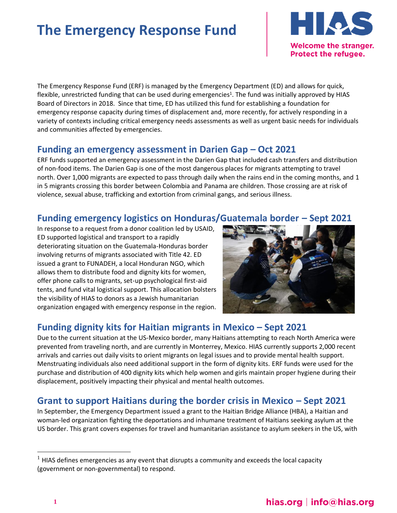# **The Emergency Response Fund**



The Emergency Response Fund (ERF) is managed by the Emergency Department (ED) and allows for quick, flexible, unrestricted funding that can be used during emergencies<sup>1</sup>. The fund was initially approved by HIAS Board of Directors in 2018. Since that time, ED has utilized this fund for establishing a foundation for emergency response capacity during times of displacement and, more recently, for actively responding in a variety of contexts including critical emergency needs assessments as well as urgent basic needs for individuals and communities affected by emergencies.

#### **Funding an emergency assessment in Darien Gap – Oct 2021**

ERF funds supported an emergency assessment in the Darien Gap that included cash transfers and distribution of non-food items. The Darien Gap is one of the most dangerous places for migrants attempting to travel north. Over 1,000 migrants are expected to pass through daily when the rains end in the coming months, and 1 in 5 migrants crossing this border between Colombia and Panama are children. Those crossing are at risk of violence, sexual abuse, trafficking and extortion from criminal gangs, and serious illness.

## **Funding emergency logistics on Honduras/Guatemala border – Sept 2021**

In response to a request from a donor coalition led by USAID, ED supported logistical and transport to a rapidly deteriorating situation on the Guatemala-Honduras border involving returns of migrants associated with Title 42. ED issued a grant to FUNADEH, a local Honduran NGO, which allows them to distribute food and dignity kits for women, offer phone calls to migrants, set-up psychological first-aid tents, and fund vital logistical support. This allocation bolsters the visibility of HIAS to donors as a Jewish humanitarian organization engaged with emergency response in the region.



# **Funding dignity kits for Haitian migrants in Mexico – Sept 2021**

Due to the current situation at the US-Mexico border, many Haitians attempting to reach North America were prevented from traveling north, and are currently in Monterrey, Mexico. HIAS currently supports 2,000 recent arrivals and carries out daily visits to orient migrants on legal issues and to provide mental health support. Menstruating individuals also need additional support in the form of dignity kits. ERF funds were used for the purchase and distribution of 400 dignity kits which help women and girls maintain proper hygiene during their displacement, positively impacting their physical and mental health outcomes.

### **Grant to support Haitians during the border crisis in Mexico – Sept 2021**

In September, the Emergency Department issued a grant to the Haitian Bridge Alliance (HBA), a Haitian and woman-led organization fighting the deportations and inhumane treatment of Haitians seeking asylum at the US border. This grant covers expenses for travel and humanitarian assistance to asylum seekers in the US, with

 $1$  HIAS defines emergencies as any event that disrupts a community and exceeds the local capacity (government or non-governmental) to respond.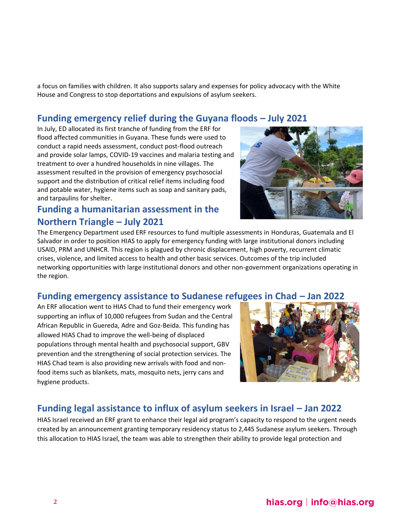a focus on families with children. It also supports salary and expenses for policy advocacy with the White House and Congress to stop deportations and expulsions of asylum seekers.

### **Funding emergency relief during the Guyana floods – July 2021**

In July, ED allocated its first tranche of funding from the ERF for flood affected communities in Guyana. These funds were used to conduct a rapid needs assessment, conduct post-flood outreach and provide solar lamps, COVID-19 vaccines and malaria testing and treatment to over a hundred households in nine villages. The assessment resulted in the provision of emergency psychosocial support and the distribution of critical relief items including food and potable water, hygiene items such as soap and sanitary pads, and tarpaulins for shelter.

### **Funding a humanitarian assessment in the Northern Triangle – July 2021**



The Emergency Department used ERF resources to fund multiple assessments in Honduras, Guatemala and El Salvador in order to position HIAS to apply for emergency funding with large institutional donors including USAID, PRM and UNHCR. This region is plagued by chronic displacement, high poverty, recurrent climatic crises, violence, and limited access to health and other basic services. Outcomes of the trip included networking opportunities with large institutional donors and other non-government organizations operating in the region.

#### **Funding emergency assistance to Sudanese refugees in Chad – Jan 2022**

An ERF allocation went to HIAS Chad to fund their emergency work supporting an influx of 10,000 refugees from Sudan and the Central African Republic in Guereda, Adre and Goz-Beida. This funding has allowed HIAS Chad to improve the well-being of displaced populations through mental health and psychosocial support, GBV prevention and the strengthening of social protection services. The HIAS Chad team is also providing new arrivals with food and nonfood items such as blankets, mats, mosquito nets, jerry cans and hygiene products.



### **Funding legal assistance to influx of asylum seekers in Israel – Jan 2022**

HIAS Israel received an ERF grant to enhance their legal aid program's capacity to respond to the urgent needs created by an announcement granting temporary residency status to 2,445 Sudanese asylum seekers. Through this allocation to HIAS Israel, the team was able to strengthen their ability to provide legal protection and